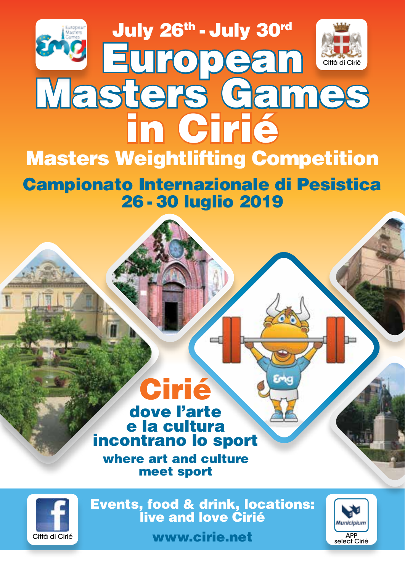

Campionato Internazionale di Pesistica 26 - 30 luglio 2019

## Cirié dove l'arte e la cultura incontrano lo sport

where art and culture meet sport



Events, food & drink, locations: live and love Cirié



Città di Cirié **www.cirie.net**